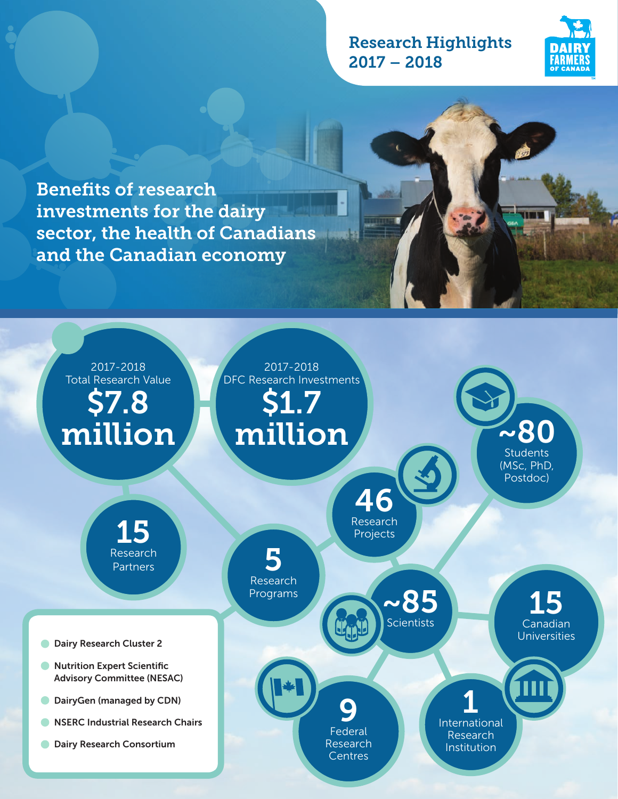# Research Highlights 2017 – 2018



Benefits of research investments for the dairy sector, the health of Canadians and the Canadian economy

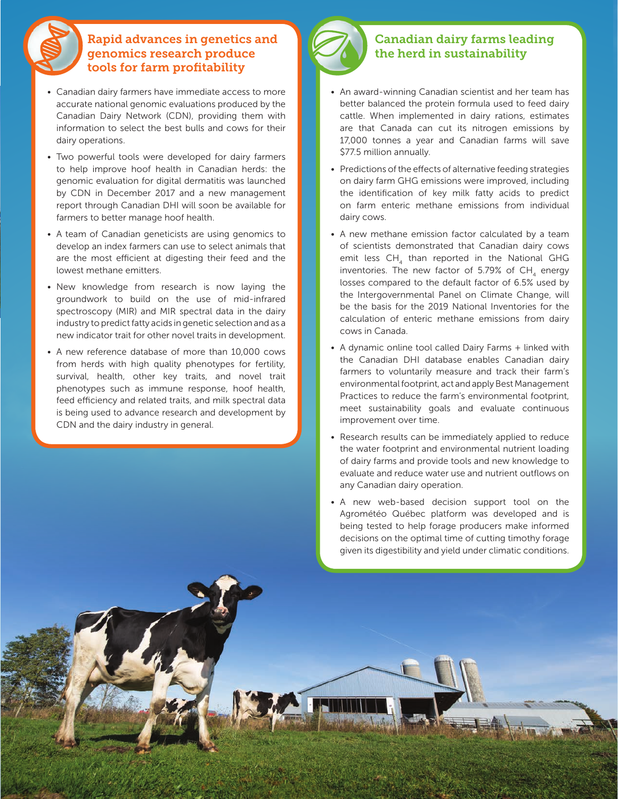# Rapid advances in genetics and genomics research produce tools for farm profitability

- Canadian dairy farmers have immediate access to more accurate national genomic evaluations produced by the Canadian Dairy Network (CDN), providing them with information to select the best bulls and cows for their dairy operations.
- Two powerful tools were developed for dairy farmers to help improve hoof health in Canadian herds: the genomic evaluation for digital dermatitis was launched by CDN in December 2017 and a new management report through Canadian DHI will soon be available for farmers to better manage hoof health.
- A team of Canadian geneticists are using genomics to develop an index farmers can use to select animals that are the most efficient at digesting their feed and the lowest methane emitters.
- New knowledge from research is now laying the groundwork to build on the use of mid-infrared spectroscopy (MIR) and MIR spectral data in the dairy industry to predict fatty acids in genetic selection and as a new indicator trait for other novel traits in development.
- A new reference database of more than 10,000 cows from herds with high quality phenotypes for fertility, survival, health, other key traits, and novel trait phenotypes such as immune response, hoof health, feed efficiency and related traits, and milk spectral data is being used to advance research and development by CDN and the dairy industry in general.



## Canadian dairy farms leading the herd in sustainability

- An award-winning Canadian scientist and her team has better balanced the protein formula used to feed dairy cattle. When implemented in dairy rations, estimates are that Canada can cut its nitrogen emissions by 17,000 tonnes a year and Canadian farms will save \$77.5 million annually.
- Predictions of the effects of alternative feeding strategies on dairy farm GHG emissions were improved, including the identification of key milk fatty acids to predict on farm enteric methane emissions from individual dairy cows.
- A new methane emission factor calculated by a team of scientists demonstrated that Canadian dairy cows emit less  $CH<sub>4</sub>$  than reported in the National GHG inventories. The new factor of 5.79% of  $CH<sub>4</sub>$  energy losses compared to the default factor of 6.5% used by the Intergovernmental Panel on Climate Change, will be the basis for the 2019 National Inventories for the calculation of enteric methane emissions from dairy cows in Canada.
- A dynamic online tool called Dairy Farms + linked with the Canadian DHI database enables Canadian dairy farmers to voluntarily measure and track their farm's environmental footprint, act and apply Best Management Practices to reduce the farm's environmental footprint, meet sustainability goals and evaluate continuous improvement over time.
- Research results can be immediately applied to reduce the water footprint and environmental nutrient loading of dairy farms and provide tools and new knowledge to evaluate and reduce water use and nutrient outflows on any Canadian dairy operation.
- A new web-based decision support tool on the Agrométéo Québec platform was developed and is being tested to help forage producers make informed decisions on the optimal time of cutting timothy forage given its digestibility and yield under climatic conditions.